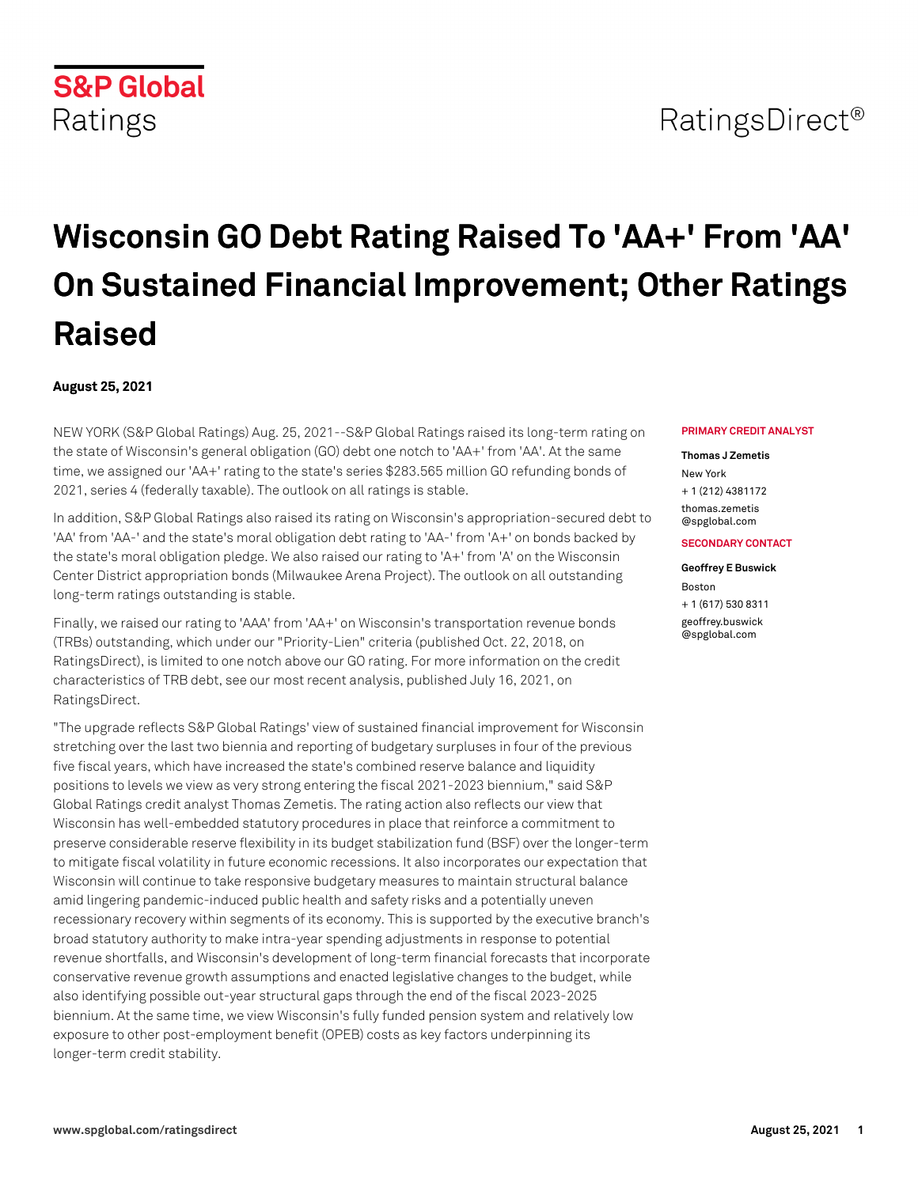# RatingsDirect<sup>®</sup>

# **Wisconsin GO Debt Rating Raised To 'AA+' From 'AA' On Sustained Financial Improvement; Other Ratings Raised**

## **August 25, 2021**

NEW YORK (S&P Global Ratings) Aug. 25, 2021--S&P Global Ratings raised its long-term rating on the state of Wisconsin's general obligation (GO) debt one notch to 'AA+' from 'AA'. At the same time, we assigned our 'AA+' rating to the state's series \$283.565 million GO refunding bonds of 2021, series 4 (federally taxable). The outlook on all ratings is stable.

In addition, S&P Global Ratings also raised its rating on Wisconsin's appropriation-secured debt to 'AA' from 'AA-' and the state's moral obligation debt rating to 'AA-' from 'A+' on bonds backed by the state's moral obligation pledge. We also raised our rating to 'A+' from 'A' on the Wisconsin Center District appropriation bonds (Milwaukee Arena Project). The outlook on all outstanding long-term ratings outstanding is stable.

Finally, we raised our rating to 'AAA' from 'AA+' on Wisconsin's transportation revenue bonds (TRBs) outstanding, which under our "Priority-Lien" criteria (published Oct. 22, 2018, on RatingsDirect), is limited to one notch above our GO rating. For more information on the credit characteristics of TRB debt, see our most recent analysis, published July 16, 2021, on RatingsDirect.

"The upgrade reflects S&P Global Ratings' view of sustained financial improvement for Wisconsin stretching over the last two biennia and reporting of budgetary surpluses in four of the previous five fiscal years, which have increased the state's combined reserve balance and liquidity positions to levels we view as very strong entering the fiscal 2021-2023 biennium," said S&P Global Ratings credit analyst Thomas Zemetis. The rating action also reflects our view that Wisconsin has well-embedded statutory procedures in place that reinforce a commitment to preserve considerable reserve flexibility in its budget stabilization fund (BSF) over the longer-term to mitigate fiscal volatility in future economic recessions. It also incorporates our expectation that Wisconsin will continue to take responsive budgetary measures to maintain structural balance amid lingering pandemic-induced public health and safety risks and a potentially uneven recessionary recovery within segments of its economy. This is supported by the executive branch's broad statutory authority to make intra-year spending adjustments in response to potential revenue shortfalls, and Wisconsin's development of long-term financial forecasts that incorporate conservative revenue growth assumptions and enacted legislative changes to the budget, while also identifying possible out-year structural gaps through the end of the fiscal 2023-2025 biennium. At the same time, we view Wisconsin's fully funded pension system and relatively low exposure to other post-employment benefit (OPEB) costs as key factors underpinning its longer-term credit stability.

#### **PRIMARY CREDIT ANALYST**

#### **Thomas J Zemetis**

New York + 1 (212) 4381172 [thomas.zemetis](mailto: thomas.zemetis@spglobal.com) [@spglobal.com](mailto: thomas.zemetis@spglobal.com)

### **SECONDARY CONTACT**

### **Geoffrey E Buswick**

Boston + 1 (617) 530 8311 [geoffrey.buswick](mailto: geoffrey.buswick@spglobal.com) [@spglobal.com](mailto: geoffrey.buswick@spglobal.com)

# **S&P Global** Ratings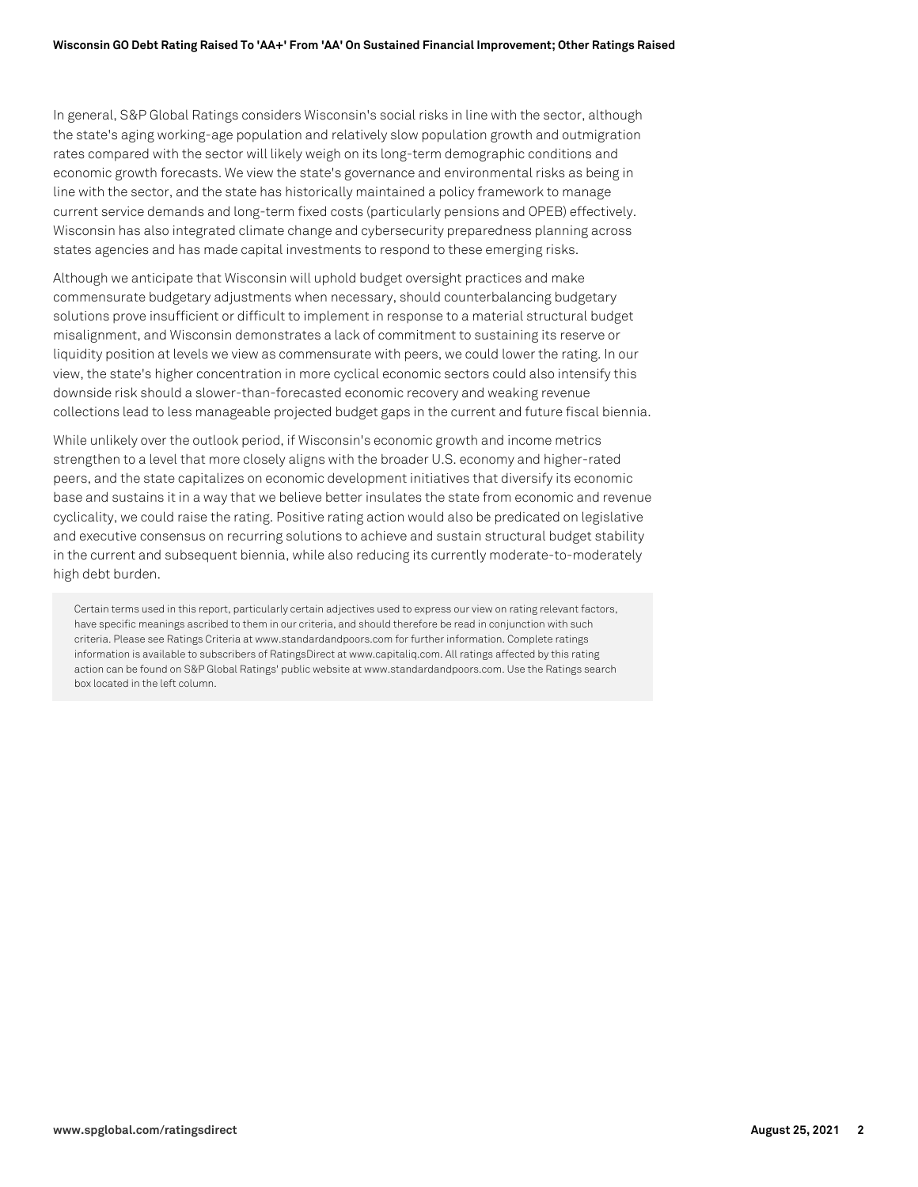In general, S&P Global Ratings considers Wisconsin's social risks in line with the sector, although the state's aging working-age population and relatively slow population growth and outmigration rates compared with the sector will likely weigh on its long-term demographic conditions and economic growth forecasts. We view the state's governance and environmental risks as being in line with the sector, and the state has historically maintained a policy framework to manage current service demands and long-term fixed costs (particularly pensions and OPEB) effectively. Wisconsin has also integrated climate change and cybersecurity preparedness planning across states agencies and has made capital investments to respond to these emerging risks.

Although we anticipate that Wisconsin will uphold budget oversight practices and make commensurate budgetary adjustments when necessary, should counterbalancing budgetary solutions prove insufficient or difficult to implement in response to a material structural budget misalignment, and Wisconsin demonstrates a lack of commitment to sustaining its reserve or liquidity position at levels we view as commensurate with peers, we could lower the rating. In our view, the state's higher concentration in more cyclical economic sectors could also intensify this downside risk should a slower-than-forecasted economic recovery and weaking revenue collections lead to less manageable projected budget gaps in the current and future fiscal biennia.

While unlikely over the outlook period, if Wisconsin's economic growth and income metrics strengthen to a level that more closely aligns with the broader U.S. economy and higher-rated peers, and the state capitalizes on economic development initiatives that diversify its economic base and sustains it in a way that we believe better insulates the state from economic and revenue cyclicality, we could raise the rating. Positive rating action would also be predicated on legislative and executive consensus on recurring solutions to achieve and sustain structural budget stability in the current and subsequent biennia, while also reducing its currently moderate-to-moderately high debt burden.

Certain terms used in this report, particularly certain adjectives used to express our view on rating relevant factors, have specific meanings ascribed to them in our criteria, and should therefore be read in conjunction with such criteria. Please see Ratings Criteria at www.standardandpoors.com for further information. Complete ratings information is available to subscribers of RatingsDirect at www.capitaliq.com. All ratings affected by this rating action can be found on S&P Global Ratings' public website at www.standardandpoors.com. Use the Ratings search box located in the left column.